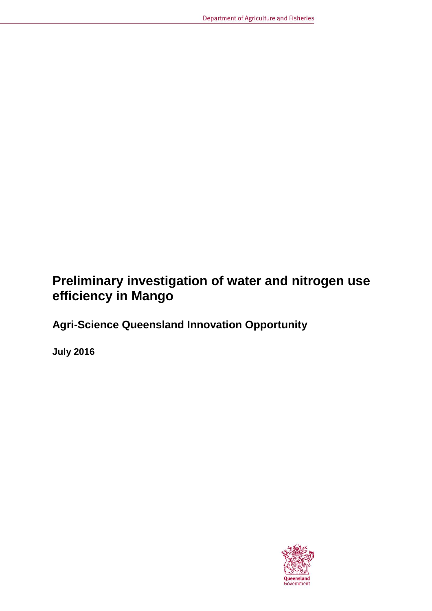# **Preliminary investigation of water and nitrogen use efficiency in Mango**

**Agri-Science Queensland Innovation Opportunity**

**July 2016**

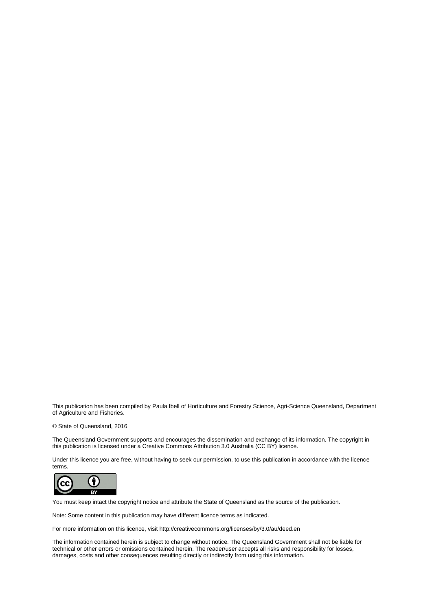This publication has been compiled by Paula Ibell of Horticulture and Forestry Science, Agri-Science Queensland, Department of Agriculture and Fisheries.

#### © State of Queensland, 2016

The Queensland Government supports and encourages the dissemination and exchange of its information. The copyright in this publication is licensed under a Creative Commons Attribution 3.0 Australia (CC BY) licence.

Under this licence you are free, without having to seek our permission, to use this publication in accordance with the licence terms.



You must keep intact the copyright notice and attribute the State of Queensland as the source of the publication.

Note: Some content in this publication may have different licence terms as indicated.

For more information on this licence, visit http://creativecommons.org/licenses/by/3.0/au/deed.en

The information contained herein is subject to change without notice. The Queensland Government shall not be liable for technical or other errors or omissions contained herein. The reader/user accepts all risks and responsibility for losses, damages, costs and other consequences resulting directly or indirectly from using this information.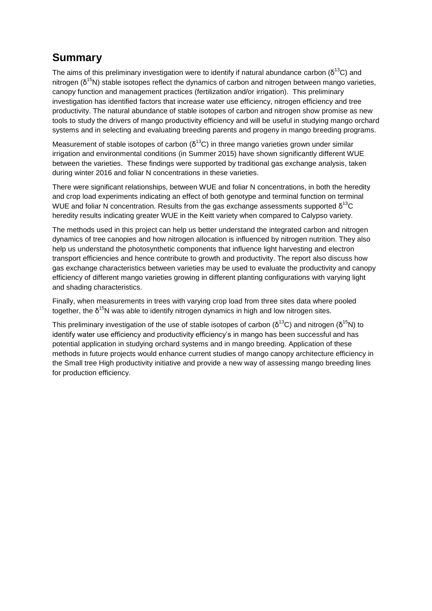## **Summary**

The aims of this preliminary investigation were to identify if natural abundance carbon ( $\delta^{13}C$ ) and nitrogen ( $\delta^{15}$ N) stable isotopes reflect the dynamics of carbon and nitrogen between mango varieties, canopy function and management practices (fertilization and/or irrigation). This preliminary investigation has identified factors that increase water use efficiency, nitrogen efficiency and tree productivity. The natural abundance of stable isotopes of carbon and nitrogen show promise as new tools to study the drivers of mango productivity efficiency and will be useful in studying mango orchard systems and in selecting and evaluating breeding parents and progeny in mango breeding programs.

Measurement of stable isotopes of carbon ( $\delta^{13}$ C) in three mango varieties grown under similar irrigation and environmental conditions (in Summer 2015) have shown significantly different WUE between the varieties. These findings were supported by traditional gas exchange analysis, taken during winter 2016 and foliar N concentrations in these varieties.

There were significant relationships, between WUE and foliar N concentrations, in both the heredity and crop load experiments indicating an effect of both genotype and terminal function on terminal WUE and foliar N concentration. Results from the gas exchange assessments supported  $\delta^{13}C$ heredity results indicating greater WUE in the Keitt variety when compared to Calypso variety.

The methods used in this project can help us better understand the integrated carbon and nitrogen dynamics of tree canopies and how nitrogen allocation is influenced by nitrogen nutrition. They also help us understand the photosynthetic components that influence light harvesting and electron transport efficiencies and hence contribute to growth and productivity. The report also discuss how gas exchange characteristics between varieties may be used to evaluate the productivity and canopy efficiency of different mango varieties growing in different planting configurations with varying light and shading characteristics.

Finally, when measurements in trees with varying crop load from three sites data where pooled together, the δ<sup>15</sup>N was able to identify nitrogen dynamics in high and low nitrogen sites.

This preliminary investigation of the use of stable isotopes of carbon ( $\delta^{13}$ C) and nitrogen ( $\delta^{15}$ N) to identify water use efficiency and productivity efficiency's in mango has been successful and has potential application in studying orchard systems and in mango breeding. Application of these methods in future projects would enhance current studies of mango canopy architecture efficiency in the Small tree High productivity initiative and provide a new way of assessing mango breeding lines for production efficiency.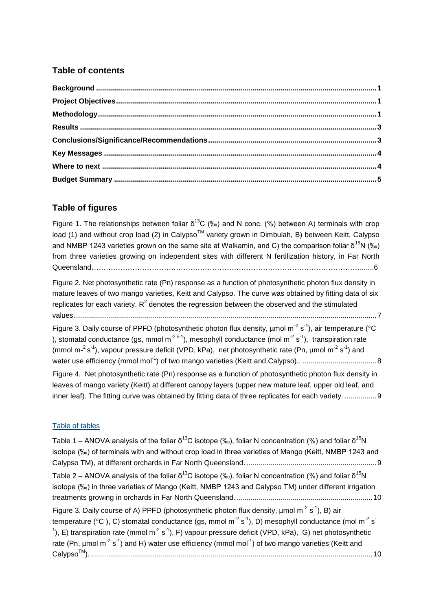### **Table of contents**

### **Table of figures**

Figure 1. The relationships between foliar δ<sup>13</sup>C (‰) and N conc. (%) between A) terminals with crop load (1) and without crop load (2) in Calypso<sup>TM</sup> variety grown in Dimbulah, B) between Keitt, Calypso and NMBP 1243 varieties grown on the same site at Walkamin, and C) the comparison foliar  $\delta^{15}N$  (‰) [from three varieties growing on independent sites with different](#page-10-0) N fertilization history, in Far North [Queensland………………………………………………………………………………………………….......6](#page-10-0)

[Figure 2. Net photosynthetic rate \(Pn\) response as a function of photosynthetic photon flux density in](#page-11-0)  [mature leaves of two mango varieties, Keitt and Calypso. The curve was obtained by fitting data of six](#page-11-0)  replicates for each variety. R<sup>2</sup> denotes the regression between the observed and the stimulated [values.......................................................................................................................................................7](#page-11-0)

Figure 3. Daily course of PPFD (photosynthetic photon flux density,  $\mu$ mol m<sup>-2</sup> s<sup>-1</sup>), air temperature (°C [\), stomatal conductance \(gs, mmol m](#page-12-0)<sup>-2 s-1</sup>), mesophyll conductance (mol m<sup>-2</sup> s<sup>-1</sup>), transpiration rate (mmol m- $2s^{-1}$ [\), vapour pressure deficit \(VPD, kPa\), net photosynthetic rate \(Pn, µmol m](#page-12-0)<sup>-2</sup> s<sup>-1</sup>) and water use efficiency (mmol mol-1 [\) of two mango varieties \(Keitt and Calypso\)..](#page-12-0) .....................................8 [Figure 4. Net photosynthetic rate \(Pn\) response as a function of photosynthetic photon flux density in](#page-13-0)  [leaves of mango variety \(Keitt\) at different canopy layers \(upper new mature leaf, upper old leaf, and](#page-13-0) 

[inner leaf\). The fitting curve was obtained by fitting data of three replicates for each variety.](#page-13-0) ................. 9

### Table of tables

Table 1 – ANOVA analysis of the foliar  $\delta^{13}$ C isotope (‰), foliar N concentration (%) and foliar  $\delta^{15}$ N [isotope \(‰\) of terminals with and without crop load in three varieties of Mango \(Keitt, NMBP 1243 and](#page-13-1)  Calypso [TM\), at different orchards in Far North Queensland..................................................................9](#page-13-1) Table 2 – ANOVA analysis of the foliar  $\delta^{13}$ C isotope (‰), foliar N concentration (%) and foliar  $\delta^{15}$ N [isotope \(‰\) in three varieties of Mango \(Keitt, NMBP 1243 and Calypso TM\) under different irrigation](#page-14-0)  [treatments growing in orchards in Far North Queensland.....................................................................10](#page-14-0) [Figure 3. Daily course of A\) PPFD \(photosynthetic photon flux density, µmol m](#page-14-1)<sup>-2</sup> s<sup>-1</sup>), B) air [temperature \(°C \), C\) stomatal conductance \(gs, mmol m](#page-14-1)<sup>-2</sup> s<sup>-1</sup>), D) mesophyll conductance (mol m<sup>-2</sup> s<sup>-</sup> <sup>1</sup>), E) transpiration rate (mmol m<sup>-2</sup> s<sup>-1</sup>), F) vapour pressure deficit (VPD, kPa), G) net photosynthetic rate (Pn, µmol m<sup>-2</sup> s<sup>-1</sup>[\) and H\) water use efficiency \(mmol mol](#page-14-1)<sup>-1</sup>) of two mango varieties (Keitt and CalypsoTM[\)..............................................................................................................................................10](#page-14-1)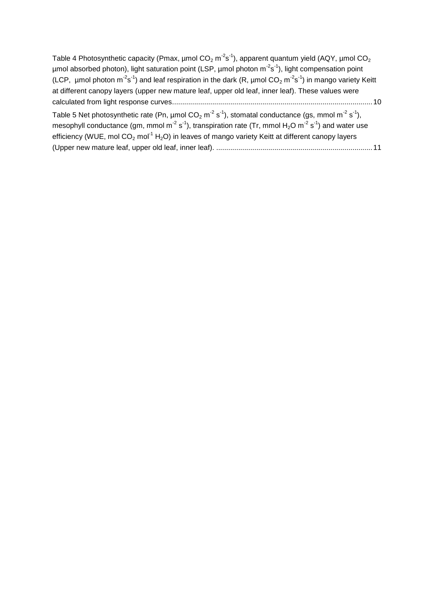[Table 4 Photosynthetic capacity \(Pmax, µmol CO](#page-14-2)<sub>2</sub> m<sup>-2</sup>s<sup>-1</sup>), apparent quantum yield (AQY, µmol CO<sub>2</sub>  $\mu$ mol absorbed photon), light saturation point (LSP,  $\mu$ mol photon m<sup>-2</sup>s<sup>-1</sup>), light compensation point (LCP, umol photon m<sup>-2</sup>s<sup>-1</sup>) and leaf respiration in the dark (R, umol CO<sub>2</sub> m<sup>-2</sup>s<sup>-1</sup>) in mango variety Keitt [at different canopy layers \(upper new mature leaf, upper old leaf, inner leaf\). These values were](#page-14-2)  [calculated from light response curves....................................................................................................10](#page-14-2) [Table 5 Net photosynthetic rate \(Pn, µmol CO](#page-15-0)<sub>2</sub> m<sup>-2</sup> s<sup>-1</sup>), stomatal conductance (gs, mmol m<sup>-2</sup> s<sup>-1</sup>), [mesophyll conductance \(gm, mmol m](#page-15-0)<sup>-2</sup> s<sup>-1</sup>), transpiration rate (Tr, mmol H<sub>2</sub>O m<sup>-2</sup> s<sup>-1</sup>) and water use

efficiency (WUE, mol  $CO<sub>2</sub>$  mol<sup>-1</sup> H<sub>2</sub>O) in leaves of mango variety Keitt at different canopy layers (Upper new mature leaf, upper old leaf, inner leaf). [..............................................................................11](#page-15-0)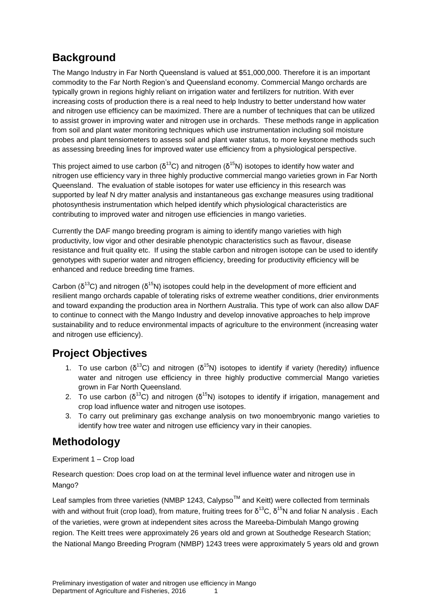## <span id="page-5-0"></span>**Background**

The Mango Industry in Far North Queensland is valued at \$51,000,000. Therefore it is an important commodity to the Far North Region's and Queensland economy. Commercial Mango orchards are typically grown in regions highly reliant on irrigation water and fertilizers for nutrition. With ever increasing costs of production there is a real need to help Industry to better understand how water and nitrogen use efficiency can be maximized. There are a number of techniques that can be utilized to assist grower in improving water and nitrogen use in orchards. These methods range in application from soil and plant water monitoring techniques which use instrumentation including soil moisture probes and plant tensiometers to assess soil and plant water status, to more keystone methods such as assessing breeding lines for improved water use efficiency from a physiological perspective.

This project aimed to use carbon ( $\delta^{13}$ C) and nitrogen ( $\delta^{15}$ N) isotopes to identify how water and nitrogen use efficiency vary in three highly productive commercial mango varieties grown in Far North Queensland. The evaluation of stable isotopes for water use efficiency in this research was supported by leaf N dry matter analysis and instantaneous gas exchange measures using traditional photosynthesis instrumentation which helped identify which physiological characteristics are contributing to improved water and nitrogen use efficiencies in mango varieties.

Currently the DAF mango breeding program is aiming to identify mango varieties with high productivity, low vigor and other desirable phenotypic characteristics such as flavour, disease resistance and fruit quality etc. If using the stable carbon and nitrogen isotope can be used to identify genotypes with superior water and nitrogen efficiency, breeding for productivity efficiency will be enhanced and reduce breeding time frames.

Carbon ( $\delta^{13}$ C) and nitrogen ( $\delta^{15}$ N) isotopes could help in the development of more efficient and resilient mango orchards capable of tolerating risks of extreme weather conditions, drier environments and toward expanding the production area in Northern Australia. This type of work can also allow DAF to continue to connect with the Mango Industry and develop innovative approaches to help improve sustainability and to reduce environmental impacts of agriculture to the environment (increasing water and nitrogen use efficiency).

## <span id="page-5-1"></span>**Project Objectives**

- 1. To use carbon ( $\delta^{13}C$ ) and nitrogen ( $\delta^{15}N$ ) isotopes to identify if variety (heredity) influence water and nitrogen use efficiency in three highly productive commercial Mango varieties grown in Far North Queensland.
- 2. To use carbon ( $\delta^{13}C$ ) and nitrogen ( $\delta^{15}N$ ) isotopes to identify if irrigation, management and crop load influence water and nitrogen use isotopes.
- 3. To carry out preliminary gas exchange analysis on two monoembryonic mango varieties to identify how tree water and nitrogen use efficiency vary in their canopies.

## <span id="page-5-2"></span>**Methodology**

Experiment 1 – Crop load

Research question: Does crop load on at the terminal level influence water and nitrogen use in Mango?

Leaf samples from three varieties (NMBP 1243, Calvpso<sup>TM</sup> and Keitt) were collected from terminals with and without fruit (crop load), from mature, fruiting trees for δ<sup>13</sup>C, δ<sup>15</sup>N and foliar N analysis . Each of the varieties, were grown at independent sites across the Mareeba-Dimbulah Mango growing region. The Keitt trees were approximately 26 years old and grown at Southedge Research Station; the National Mango Breeding Program (NMBP) 1243 trees were approximately 5 years old and grown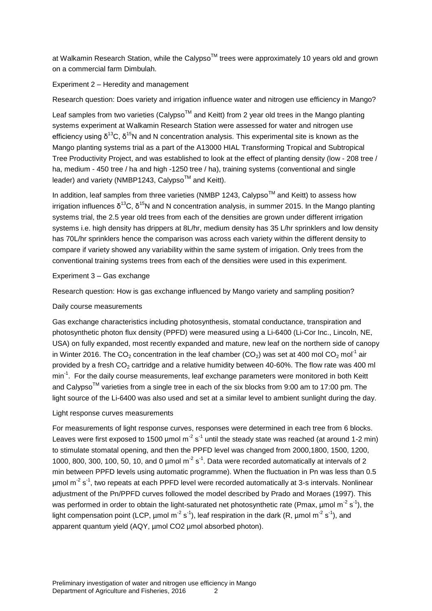at Walkamin Research Station, while the Calypso™ trees were approximately 10 years old and grown on a commercial farm Dimbulah.

#### Experiment 2 – Heredity and management

#### Research question: Does variety and irrigation influence water and nitrogen use efficiency in Mango?

Leaf samples from two varieties (Calypso<sup>TM</sup> and Keitt) from 2 year old trees in the Mango planting systems experiment at Walkamin Research Station were assessed for water and nitrogen use efficiency using δ<sup>13</sup>C, δ<sup>15</sup>N and N concentration analysis. This experimental site is known as the Mango planting systems trial as a part of the A13000 HIAL Transforming Tropical and Subtropical Tree Productivity Project, and was established to look at the effect of planting density (low - 208 tree / ha, medium - 450 tree / ha and high -1250 tree / ha), training systems (conventional and single leader) and variety (NMBP1243, Calypso<sup>TM</sup> and Keitt).

In addition, leaf samples from three varieties (NMBP 1243, Calypso<sup>TM</sup> and Keitt) to assess how irrigation influences δ<sup>13</sup>C, δ<sup>15</sup>N and N concentration analysis, in summer 2015. In the Mango planting systems trial, the 2.5 year old trees from each of the densities are grown under different irrigation systems i.e. high density has drippers at 8L/hr, medium density has 35 L/hr sprinklers and low density has 70L/hr sprinklers hence the comparison was across each variety within the different density to compare if variety showed any variability within the same system of irrigation. Only trees from the conventional training systems trees from each of the densities were used in this experiment.

#### Experiment 3 – Gas exchange

Research question: How is gas exchange influenced by Mango variety and sampling position?

#### Daily course measurements

Gas exchange characteristics including photosynthesis, stomatal conductance, transpiration and photosynthetic photon flux density (PPFD) were measured using a Li-6400 (Li-Cor Inc., Lincoln, NE, USA) on fully expanded, most recently expanded and mature, new leaf on the northern side of canopy in Winter 2016. The CO<sub>2</sub> concentration in the leaf chamber (CO<sub>2</sub>) was set at 400 mol CO<sub>2</sub> mol<sup>-1</sup> air provided by a fresh CO<sub>2</sub> cartridge and a relative humidity between 40-60%. The flow rate was 400 ml min<sup>-1</sup>. For the daily course measurements, leaf exchange parameters were monitored in both Keitt and Calypso<sup>TM</sup> varieties from a single tree in each of the six blocks from 9:00 am to 17:00 pm. The light source of the Li-6400 was also used and set at a similar level to ambient sunlight during the day.

#### Light response curves measurements

For measurements of light response curves, responses were determined in each tree from 6 blocks. Leaves were first exposed to 1500  $\mu$ mol m<sup>-2</sup> s<sup>-1</sup> until the steady state was reached (at around 1-2 min) to stimulate stomatal opening, and then the PPFD level was changed from 2000,1800, 1500, 1200, 1000, 800, 300, 100, 50, 10, and 0  $\mu$ mol m<sup>-2</sup> s<sup>-1</sup>. Data were recorded automatically at intervals of 2 min between PPFD levels using automatic programme). When the fluctuation in Pn was less than 0.5 µmol m<sup>-2</sup> s<sup>-1</sup>, two repeats at each PPFD level were recorded automatically at 3-s intervals. Nonlinear adjustment of the Pn/PPFD curves followed the model described by Prado and Moraes (1997). This was performed in order to obtain the light-saturated net photosynthetic rate (Pmax, µmol m<sup>-2</sup> s<sup>-1</sup>), the light compensation point (LCP, µmol m<sup>-2</sup> s<sup>-1</sup>), leaf respiration in the dark (R, µmol m<sup>-2</sup> s<sup>-1</sup>), and apparent quantum yield (AQY, µmol CO2 µmol absorbed photon).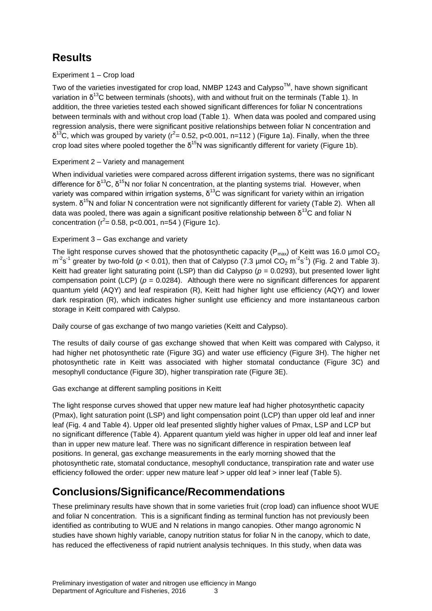# <span id="page-7-0"></span>**Results**

### Experiment 1 – Crop load

Two of the varieties investigated for crop load, NMBP 1243 and Calypso™, have shown significant variation in  $\delta^{13}$ C between terminals (shoots), with and without fruit on the terminals (Table 1). In addition, the three varieties tested each showed significant differences for foliar N concentrations between terminals with and without crop load (Table 1). When data was pooled and compared using regression analysis, there were significant positive relationships between foliar N concentration and  $δ^{13}$ C, which was grouped by variety (r<sup>2</sup>= 0.52, p<0.001, n=112) (Figure 1a). Finally, when the three crop load sites where pooled together the  $\delta^{15}$ N was significantly different for variety (Figure 1b).

### Experiment 2 – Variety and management

When individual varieties were compared across different irrigation systems, there was no significant difference for  $\delta^{13}C$ ,  $\delta^{15}N$  nor foliar N concentration, at the planting systems trial. However, when variety was compared within irrigation systems,  $\delta^{13}$ C was significant for variety within an irrigation system. δ<sup>15</sup>N and foliar N concentration were not significantly different for variety (Table 2). When all data was pooled, there was again a significant positive relationship between  $\delta^{13}C$  and foliar N concentration ( $r^2$  = 0.58, p < 0.001, n = 54) (Figure 1c).

### Experiment 3 – Gas exchange and variety

The light response curves showed that the photosynthetic capacity ( $P_{max}$ ) of Keitt was 16.0 µmol CO<sub>2</sub>  $m^2$ s<sup>-1</sup> greater by two-fold ( $p < 0.01$ ), then that of Calypso (7.3 µmol CO<sub>2</sub> m<sup>-2</sup>s<sup>-1</sup>) (Fig. 2 and Table 3). Keitt had greater light saturating point (LSP) than did Calypso  $(p = 0.0293)$ , but presented lower light compensation point (LCP) ( $p = 0.0284$ ). Although there were no significant differences for apparent quantum yield (AQY) and leaf respiration (R), Keitt had higher light use efficiency (AQY) and lower dark respiration (R), which indicates higher sunlight use efficiency and more instantaneous carbon storage in Keitt compared with Calypso.

Daily course of gas exchange of two mango varieties (Keitt and Calypso).

The results of daily course of gas exchange showed that when Keitt was compared with Calypso, it had higher net photosynthetic rate (Figure 3G) and water use efficiency (Figure 3H). The higher net photosynthetic rate in Keitt was associated with higher stomatal conductance (Figure 3C) and mesophyll conductance (Figure 3D), higher transpiration rate (Figure 3E).

### Gas exchange at different sampling positions in Keitt

The light response curves showed that upper new mature leaf had higher photosynthetic capacity (Pmax), light saturation point (LSP) and light compensation point (LCP) than upper old leaf and inner leaf (Fig. 4 and Table 4). Upper old leaf presented slightly higher values of Pmax, LSP and LCP but no significant difference (Table 4). Apparent quantum yield was higher in upper old leaf and inner leaf than in upper new mature leaf. There was no significant difference in respiration between leaf positions. In general, gas exchange measurements in the early morning showed that the photosynthetic rate, stomatal conductance, mesophyll conductance, transpiration rate and water use efficiency followed the order: upper new mature leaf > upper old leaf > inner leaf (Table 5).

## <span id="page-7-1"></span>**Conclusions/Significance/Recommendations**

These preliminary results have shown that in some varieties fruit (crop load) can influence shoot WUE and foliar N concentration. This is a significant finding as terminal function has not previously been identified as contributing to WUE and N relations in mango canopies. Other mango agronomic N studies have shown highly variable, canopy nutrition status for foliar N in the canopy, which to date, has reduced the effectiveness of rapid nutrient analysis techniques. In this study, when data was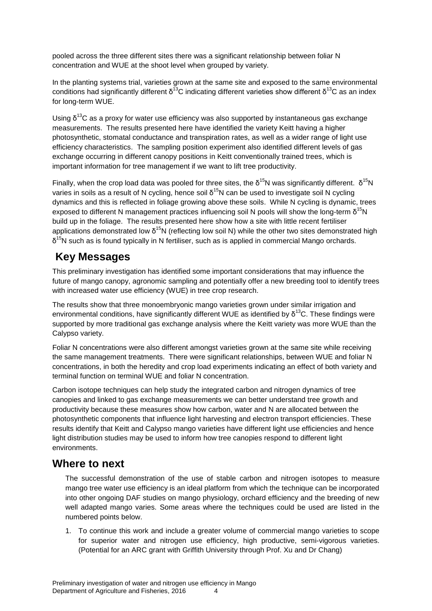pooled across the three different sites there was a significant relationship between foliar N concentration and WUE at the shoot level when grouped by variety.

In the planting systems trial, varieties grown at the same site and exposed to the same environmental conditions had significantly different δ<sup>13</sup>C indicating different varieties show different δ<sup>13</sup>C as an index for long-term WUE.

Using  $\delta^{13}$ C as a proxy for water use efficiency was also supported by instantaneous gas exchange measurements. The results presented here have identified the variety Keitt having a higher photosynthetic, stomatal conductance and transpiration rates, as well as a wider range of light use efficiency characteristics. The sampling position experiment also identified different levels of gas exchange occurring in different canopy positions in Keitt conventionally trained trees, which is important information for tree management if we want to lift tree productivity.

Finally, when the crop load data was pooled for three sites, the  $\delta^{15}N$  was significantly different.  $\delta^{15}N$ varies in soils as a result of N cycling, hence soil δ<sup>15</sup>N can be used to investigate soil N cycling dynamics and this is reflected in foliage growing above these soils. While N cycling is dynamic, trees exposed to different N management practices influencing soil N pools will show the long-term  $\delta^{15}$ N build up in the foliage. The results presented here show how a site with little recent fertiliser applications demonstrated low  $\delta^{15}$ N (reflecting low soil N) while the other two sites demonstrated high  $\delta^{15}$ N such as is found typically in N fertiliser, such as is applied in commercial Mango orchards.

## <span id="page-8-1"></span><span id="page-8-0"></span>**Key Messages**

This preliminary investigation has identified some important considerations that may influence the future of mango canopy, agronomic sampling and potentially offer a new breeding tool to identify trees with increased water use efficiency (WUE) in tree crop research.

The results show that three monoembryonic mango varieties grown under similar irrigation and environmental conditions, have significantly different WUE as identified by  $\delta^{13}$ C. These findings were supported by more traditional gas exchange analysis where the Keitt variety was more WUE than the Calypso variety.

Foliar N concentrations were also different amongst varieties grown at the same site while receiving the same management treatments. There were significant relationships, between WUE and foliar N concentrations, in both the heredity and crop load experiments indicating an effect of both variety and terminal function on terminal WUE and foliar N concentration.

Carbon isotope techniques can help study the integrated carbon and nitrogen dynamics of tree canopies and linked to gas exchange measurements we can better understand tree growth and productivity because these measures show how carbon, water and N are allocated between the photosynthetic components that influence light harvesting and electron transport efficiencies. These results identify that Keitt and Calypso mango varieties have different light use efficiencies and hence light distribution studies may be used to inform how tree canopies respond to different light environments.

### **Where to next**

The successful demonstration of the use of stable carbon and nitrogen isotopes to measure mango tree water use efficiency is an ideal platform from which the technique can be incorporated into other ongoing DAF studies on mango physiology, orchard efficiency and the breeding of new well adapted mango varies. Some areas where the techniques could be used are listed in the numbered points below.

1. To continue this work and include a greater volume of commercial mango varieties to scope for superior water and nitrogen use efficiency, high productive, semi-vigorous varieties. (Potential for an ARC grant with Griffith University through Prof. Xu and Dr Chang)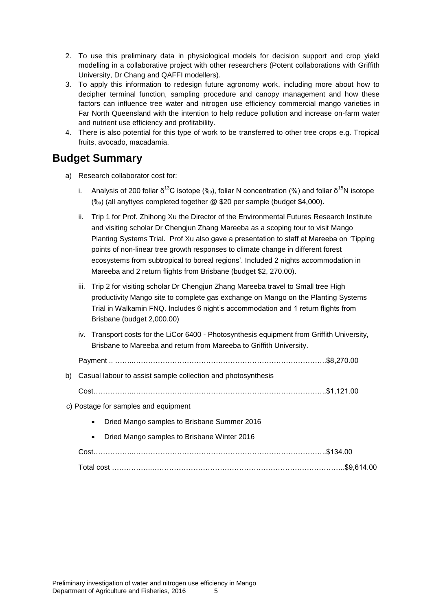- 2. To use this preliminary data in physiological models for decision support and crop yield modelling in a collaborative project with other researchers (Potent collaborations with Griffith University, Dr Chang and QAFFI modellers).
- 3. To apply this information to redesign future agronomy work, including more about how to decipher terminal function, sampling procedure and canopy management and how these factors can influence tree water and nitrogen use efficiency commercial mango varieties in Far North Queensland with the intention to help reduce pollution and increase on-farm water and nutrient use efficiency and profitability.
- 4. There is also potential for this type of work to be transferred to other tree crops e.g. Tropical fruits, avocado, macadamia.

### <span id="page-9-0"></span>**Budget Summary**

- a) Research collaborator cost for:
	- i. Analysis of 200 foliar  $\delta^{13}$ C isotope (‰), foliar N concentration (%) and foliar  $\delta^{15}$ N isotope (‰) (all anyltyes completed together @ \$20 per sample (budget \$4,000).
	- ii. Trip 1 for Prof. Zhihong Xu the Director of the Environmental Futures Research Institute and visiting scholar Dr Chengjun Zhang Mareeba as a scoping tour to visit Mango Planting Systems Trial. Prof Xu also gave a presentation to staff at Mareeba on 'Tipping points of non-linear tree growth responses to climate change in different forest ecosystems from subtropical to boreal regions'. Included 2 nights accommodation in Mareeba and 2 return flights from Brisbane (budget \$2, 270.00).
	- iii. Trip 2 for visiting scholar Dr Chengjun Zhang Mareeba travel to Small tree High productivity Mango site to complete gas exchange on Mango on the Planting Systems Trial in Walkamin FNQ. Includes 6 night's accommodation and 1 return flights from Brisbane (budget 2,000.00)
	- iv. Transport costs for the LiCor 6400 Photosynthesis equipment from Griffith University, Brisbane to Mareeba and return from Mareeba to Griffith University.

Payment .. ……..……………………………………………………………………..\$8,270.00

b) Casual labour to assist sample collection and photosynthesis

Cost……………..……………………………………………………………………..\$1,121.00

c) Postage for samples and equipment

- Dried Mango samples to Brisbane Summer 2016
- Dried Mango samples to Brisbane Winter 2016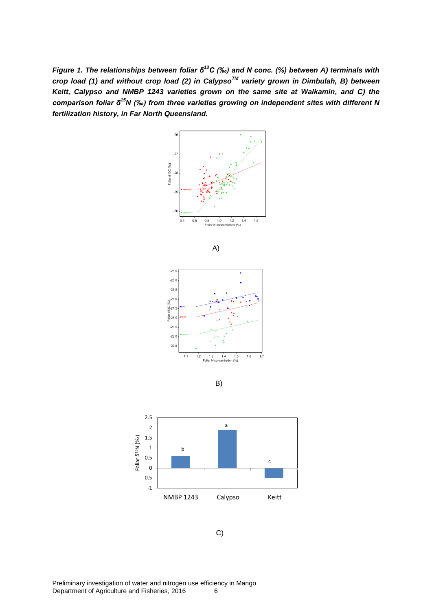<span id="page-10-0"></span>*Figure 1. The relationships between foliar δ<sup>13</sup>C (‰) and N conc. (%) between A) terminals with crop load (1) and without crop load (2) in CalypsoTM variety grown in Dimbulah, B) between Keitt, Calypso and NMBP 1243 varieties grown on the same site at Walkamin, and C) the comparison foliar δ<sup>15</sup>N (‰) from three varieties growing on independent sites with different N fertilization history, in Far North Queensland.* 





C)

Preliminary investigation of water and nitrogen use efficiency in Mango Department of Agriculture and Fisheries, 2016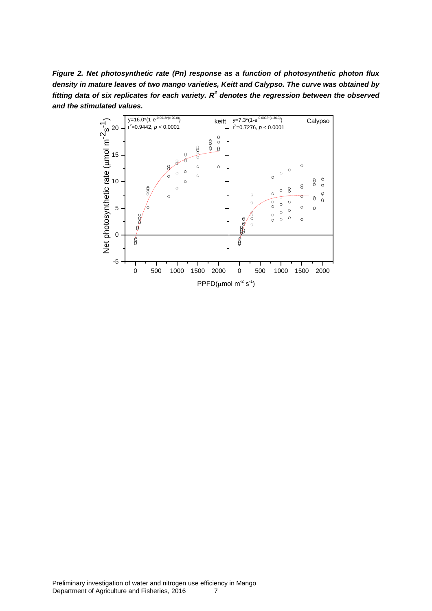<span id="page-11-0"></span>*Figure 2. Net photosynthetic rate (Pn) response as a function of photosynthetic photon flux density in mature leaves of two mango varieties, Keitt and Calypso. The curve was obtained by fitting data of six replicates for each variety. R<sup>2</sup> denotes the regression between the observed and the stimulated values.* 

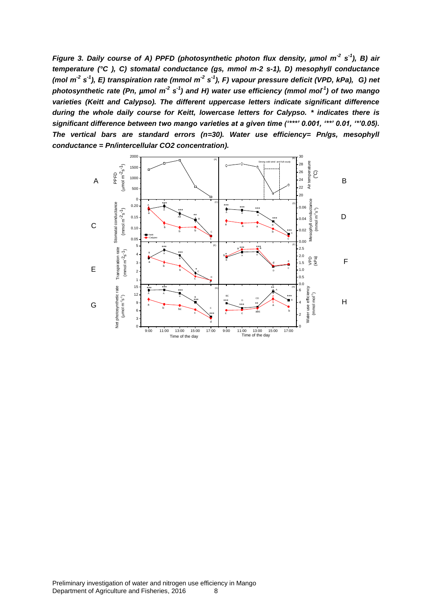<span id="page-12-0"></span>*Figure 3. Daily course of A) PPFD (photosynthetic photon flux density, µmol m<sup>-2</sup> s<sup>-1</sup>), B) air temperature (°C ), C) stomatal conductance (gs, mmol m-2 s-1), D) mesophyll conductance (mol m-2 s -1 ), E) transpiration rate (mmol m-2 s -1 ), F) vapour pressure deficit (VPD, kPa), G) net*  photosynthetic rate (Pn, µmol m<sup>-2</sup> s<sup>-1</sup>) and H) water use efficiency (mmol mol<sup>-1</sup>) of two mango *varieties (Keitt and Calypso). The different uppercase letters indicate significant difference during the whole daily course for Keitt, lowercase letters for Calypso. \* indicates there is significant difference between two mango varieties at a given time ('\*\*\*' 0.001, '\*\*' 0.01, '\*'0.05). The vertical bars are standard errors (n=30). Water use efficiency= Pn/gs, mesophyll conductance = Pn/intercellular CO2 concentration).*

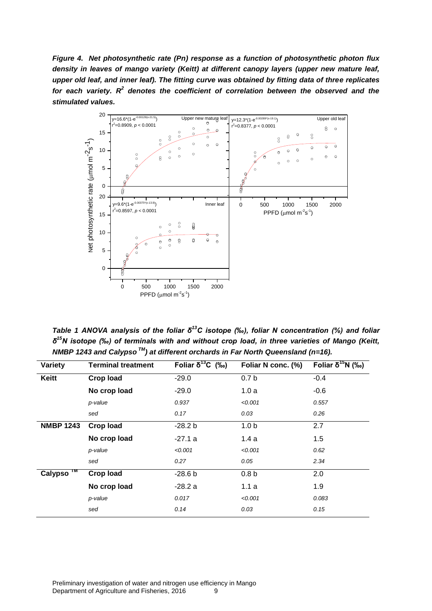<span id="page-13-0"></span>*Figure 4. Net photosynthetic rate (Pn) response as a function of photosynthetic photon flux density in leaves of mango variety (Keitt) at different canopy layers (upper new mature leaf, upper old leaf, and inner leaf). The fitting curve was obtained by fitting data of three replicates for each variety. R<sup>2</sup> denotes the coefficient of correlation between the observed and the stimulated values.*



<span id="page-13-1"></span>*Table 1 ANOVA analysis of the foliar δ<sup>13</sup>C isotope (‰), foliar N concentration (%) and foliar δ <sup>15</sup>N isotope (‰) of terminals with and without crop load, in three varieties of Mango (Keitt, NMBP 1243 and Calypso TM) at different orchards in Far North Queensland (n=16).* 

| Variety          | <b>Terminal treatment</b> | Foliar $\delta^{13}C$ (‰) | Foliar N conc. (%) | Foliar δ <sup>15</sup> N (‰) |
|------------------|---------------------------|---------------------------|--------------------|------------------------------|
| <b>Keitt</b>     | <b>Crop load</b>          | $-29.0$                   | 0.7 <sub>b</sub>   | $-0.4$                       |
|                  | No crop load              | $-29.0$                   | 1.0a               | $-0.6$                       |
|                  | p-value                   | 0.937                     | < 0.001            | 0.557                        |
|                  | sed                       | 0.17                      | 0.03               | 0.26                         |
| <b>NMBP 1243</b> | <b>Crop load</b>          | $-28.2 b$                 | 1.0 <sub>b</sub>   | 2.7                          |
|                  | No crop load              | $-27.1a$                  | 1.4a               | 1.5                          |
|                  | p-value                   | < 0.001                   | < 0.001            | 0.62                         |
|                  | sed                       | 0.27                      | 0.05               | 2.34                         |
| TM<br>Calypso    | <b>Crop load</b>          | $-28.6b$                  | 0.8 <sub>b</sub>   | 2.0                          |
|                  | No crop load              | $-28.2a$                  | 1.1a               | 1.9                          |
|                  | p-value                   | 0.017                     | < 0.001            | 0.083                        |
|                  | sed                       | 0.14                      | 0.03               | 0.15                         |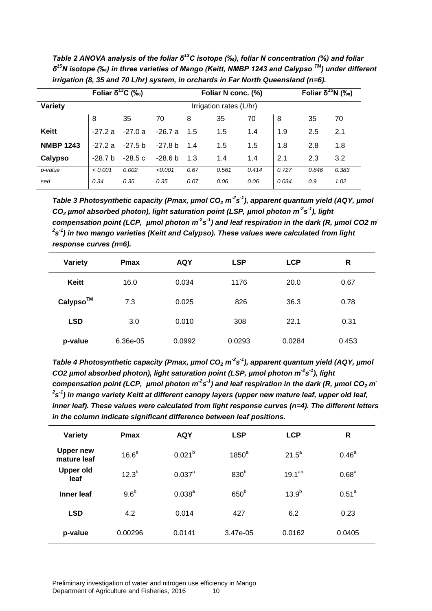*irrigation (8, 35 and 70 L/hr) system, in orchards in Far North Queensland (n=6).*  **Foliar δ<sup>13</sup>C (‰) Foliar N conc. (%) Foliar δ<sup>15</sup>N (‰) Variety Variety** Irrigation rates (L/hr) 8 35 70 8 35 70 8 35 70 **Keitt** | -27.2 a -27.0 a -26.7 a | 1.5 1.4 | 1.9 2.5 2.1 **NMBP 1243** | -27.2 a -27.5 b -27.8 b | 1.4 1.5 1.5 | 1.8 2.8 1.8

**Calypso** -28.7 b -28.5 c -28.6 b 1.3 1.4 1.4 2.1 2.3 3.2 *p-value < 0.001 0.002 <0.001 0.67 0.561 0.414 0.727 0.846 0.383 sed 0.34 0.35 0.35 0.07 0.06 0.06 0.034 0.9 1.02*

<span id="page-14-0"></span>*Table 2 ANOVA analysis of the foliar δ<sup>13</sup>C isotope (‰), foliar N concentration (%) and foliar δ <sup>15</sup>N isotope (‰) in three varieties of Mango (Keitt, NMBP 1243 and Calypso TM) under different* 

<span id="page-14-1"></span>*Table 3 Photosynthetic capacity (Pmax, µmol CO<sup>2</sup> m -2 s -1 ), apparent quantum yield (AQY, µmol CO<sup>2</sup> µmol absorbed photon), light saturation point (LSP, µmol photon m-2 s -1 ), light*  compensation point (LCP, µmol photon m<sup>-2</sup>s<sup>-1</sup>) and leaf respiration in the dark (R, µmol CO2 m  $^{2}$ s<sup>-1</sup>) in two mango varieties (Keitt and Calypso). These values were calculated from light *response curves (n=6).*

| <b>Variety</b> | <b>Pmax</b> | <b>AQY</b> | <b>LSP</b> | <b>LCP</b> | R     |
|----------------|-------------|------------|------------|------------|-------|
| Keitt          | 16.0        | 0.034      | 1176       | 20.0       | 0.67  |
| Calypso™       | 7.3         | 0.025      | 826        | 36.3       | 0.78  |
| <b>LSD</b>     | 3.0         | 0.010      | 308        | 22.1       | 0.31  |
| p-value        | 6.36e-05    | 0.0992     | 0.0293     | 0.0284     | 0.453 |

<span id="page-14-2"></span>*Table 4 Photosynthetic capacity (Pmax, µmol CO<sup>2</sup> m -2 s -1 ), apparent quantum yield (AQY, µmol CO2 µmol absorbed photon), light saturation point (LSP, µmol photon m-2 s -1 ), light compensation point (LCP, µmol photon m<sup>-2</sup>s<sup>-1</sup>) and leaf respiration in the dark (R, µmol CO<sub>2</sub> m<sup>2</sup>* <sup>2</sup>s<sup>-1</sup>) in mango variety Keitt at different canopy layers (upper new mature leaf, upper old leaf, *inner leaf). These values were calculated from light response curves (n=4). The different letters in the column indicate significant difference between leaf positions.*

| Variety                         | <b>Pmax</b>       | <b>AQY</b>           | <b>LSP</b>       | <b>LCP</b>  | R                 |
|---------------------------------|-------------------|----------------------|------------------|-------------|-------------------|
| <b>Upper new</b><br>mature leaf | 16.6 <sup>a</sup> | $0.021^{b}$          | $1850^a$         | $21.5^a$    | $0.46^{\circ}$    |
| <b>Upper old</b><br>leaf        | $12.3^{b}$        | $0.037$ <sup>a</sup> | 830 <sup>b</sup> | $19.1^{ab}$ | 0.68 <sup>a</sup> |
| Inner leaf                      | 9.6 <sup>b</sup>  | $0.038^{a}$          | 650 <sup>b</sup> | $13.9^{b}$  | 0.51 <sup>a</sup> |
| <b>LSD</b>                      | 4.2               | 0.014                | 427              | 6.2         | 0.23              |
| p-value                         | 0.00296           | 0.0141               | 3.47e-05         | 0.0162      | 0.0405            |